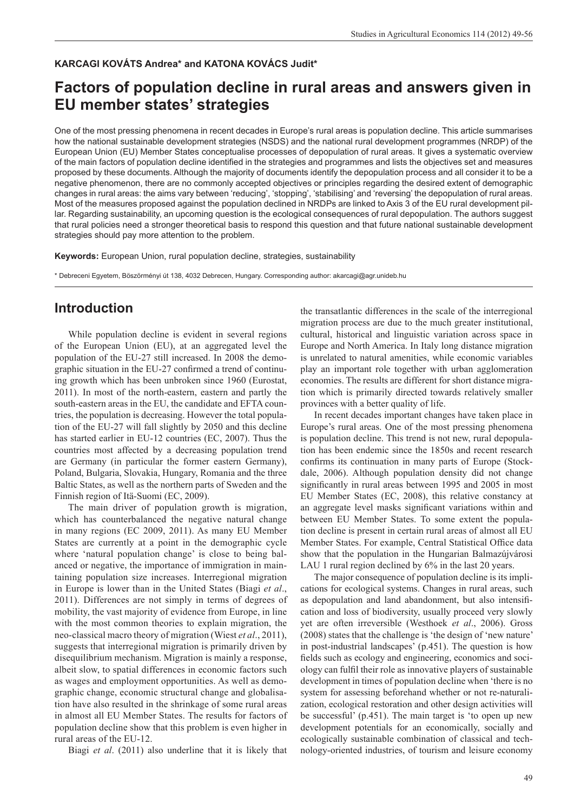#### **KARCAGI KOVÁTS Andrea\* and KATONA KOVÁCS Judit\***

# **Factors of population decline in rural areas and answers given in EU member states' strategies**

One of the most pressing phenomena in recent decades in Europe's rural areas is population decline. This article summarises how the national sustainable development strategies (NSDS) and the national rural development programmes (NRDP) of the European Union (EU) Member States conceptualise processes of depopulation of rural areas. It gives a systematic overview of the main factors of population decline identified in the strategies and programmes and lists the objectives set and measures proposed by these documents. Although the majority of documents identify the depopulation process and all consider it to be a negative phenomenon, there are no commonly accepted objectives or principles regarding the desired extent of demographic changes in rural areas: the aims vary between 'reducing', 'stopping', 'stabilising' and 'reversing' the depopulation of rural areas. Most of the measures proposed against the population declined in NRDPs are linked to Axis 3 of the EU rural development pillar. Regarding sustainability, an upcoming question is the ecological consequences of rural depopulation. The authors suggest that rural policies need a stronger theoretical basis to respond this question and that future national sustainable development strategies should pay more attention to the problem.

**Keywords:** European Union, rural population decline, strategies, sustainability

\* Debreceni Egyetem, Böszörményi út 138, 4032 Debrecen, Hungary. Corresponding author: akarcagi@agr.unideb.hu

### **Introduction**

While population decline is evident in several regions of the European Union (EU), at an aggregated level the population of the EU-27 still increased. In 2008 the demographic situation in the EU-27 confirmed a trend of continuing growth which has been unbroken since 1960 (Eurostat, 2011). In most of the north-eastern, eastern and partly the south-eastern areas in the EU, the candidate and EFTA countries, the population is decreasing. However the total population of the EU-27 will fall slightly by 2050 and this decline has started earlier in EU-12 countries (EC, 2007). Thus the countries most affected by a decreasing population trend are Germany (in particular the former eastern Germany), Poland, Bulgaria, Slovakia, Hungary, Romania and the three Baltic States, as well as the northern parts of Sweden and the Finnish region of Itä-Suomi (EC, 2009).

The main driver of population growth is migration, which has counterbalanced the negative natural change in many regions (EC 2009, 2011). As many EU Member States are currently at a point in the demographic cycle where 'natural population change' is close to being balanced or negative, the importance of immigration in maintaining population size increases. Interregional migration in Europe is lower than in the United States (Biagi *et al*., 2011). Differences are not simply in terms of degrees of mobility, the vast majority of evidence from Europe, in line with the most common theories to explain migration, the neo-classical macro theory of migration (Wiest *et al*., 2011), suggests that interregional migration is primarily driven by disequilibrium mechanism. Migration is mainly a response, albeit slow, to spatial differences in economic factors such as wages and employment opportunities. As well as demographic change, economic structural change and globalisation have also resulted in the shrinkage of some rural areas in almost all EU Member States. The results for factors of population decline show that this problem is even higher in rural areas of the EU-12.

Biagi *et al*. (2011) also underline that it is likely that

the transatlantic differences in the scale of the interregional migration process are due to the much greater institutional, cultural, historical and linguistic variation across space in Europe and North America. In Italy long distance migration is unrelated to natural amenities, while economic variables play an important role together with urban agglomeration economies. The results are different for short distance migration which is primarily directed towards relatively smaller provinces with a better quality of life.

In recent decades important changes have taken place in Europe's rural areas. One of the most pressing phenomena is population decline. This trend is not new, rural depopulation has been endemic since the 1850s and recent research confirms its continuation in many parts of Europe (Stockdale, 2006). Although population density did not change significantly in rural areas between 1995 and 2005 in most EU Member States (EC, 2008), this relative constancy at an aggregate level masks significant variations within and between EU Member States. To some extent the population decline is present in certain rural areas of almost all EU Member States. For example, Central Statistical Office data show that the population in the Hungarian Balmazújvárosi LAU 1 rural region declined by  $6\%$  in the last 20 years.

The major consequence of population decline is its implications for ecological systems. Changes in rural areas, such as depopulation and land abandonment, but also intensification and loss of biodiversity, usually proceed very slowly yet are often irreversible (Westhoek *et al*., 2006). Gross (2008) states that the challenge is 'the design of 'new nature' in post-industrial landscapes' (p.451). The question is how fields such as ecology and engineering, economics and sociology can fulfi l their role as innovative players of sustainable development in times of population decline when 'there is no system for assessing beforehand whether or not re-naturalization, ecological restoration and other design activities will be successful' (p.451). The main target is 'to open up new development potentials for an economically, socially and ecologically sustainable combination of classical and technology-oriented industries, of tourism and leisure economy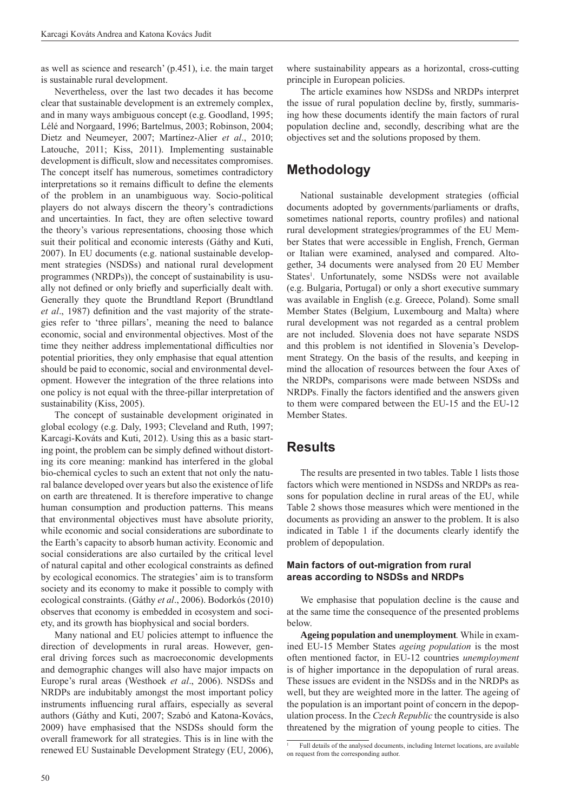as well as science and research' (p.451), i.e. the main target is sustainable rural development.

Nevertheless, over the last two decades it has become clear that sustainable development is an extremely complex, and in many ways ambiguous concept (e.g. Goodland, 1995; Lélé and Norgaard, 1996; Bartelmus, 2003; Robinson, 2004; Dietz and Neumeyer, 2007; Martínez-Alier *et al*., 2010; Latouche, 2011; Kiss, 2011). Implementing sustainable development is difficult, slow and necessitates compromises. The concept itself has numerous, sometimes contradictory interpretations so it remains difficult to define the elements of the problem in an unambiguous way. Socio-political players do not always discern the theory's contradictions and uncertainties. In fact, they are often selective toward the theory's various representations, choosing those which suit their political and economic interests (Gáthy and Kuti, 2007). In EU documents (e.g. national sustainable development strategies (NSDSs) and national rural development programmes (NRDPs)), the concept of sustainability is usually not defined or only briefly and superficially dealt with. Generally they quote the Brundtland Report (Brundtland *et al.*, 1987) definition and the vast majority of the strategies refer to 'three pillars', meaning the need to balance economic, social and environmental objectives. Most of the time they neither address implementational difficulties nor potential priorities, they only emphasise that equal attention should be paid to economic, social and environmental development. However the integration of the three relations into one policy is not equal with the three-pillar interpretation of sustainability (Kiss, 2005).

The concept of sustainable development originated in global ecology (e.g. Daly, 1993; Cleveland and Ruth, 1997; Karcagi-Kováts and Kuti, 2012). Using this as a basic starting point, the problem can be simply defined without distorting its core meaning: mankind has interfered in the global bio-chemical cycles to such an extent that not only the natural balance developed over years but also the existence of life on earth are threatened. It is therefore imperative to change human consumption and production patterns. This means that environmental objectives must have absolute priority, while economic and social considerations are subordinate to the Earth's capacity to absorb human activity. Economic and social considerations are also curtailed by the critical level of natural capital and other ecological constraints as defined by ecological economics. The strategies' aim is to transform society and its economy to make it possible to comply with ecological constraints. (Gáthy *et al*., 2006). Bodorkós (2010) observes that economy is embedded in ecosystem and society, and its growth has biophysical and social borders.

Many national and EU policies attempt to influence the direction of developments in rural areas. However, general driving forces such as macroeconomic developments and demographic changes will also have major impacts on Europe's rural areas (Westhoek *et al*., 2006). NSDSs and NRDPs are indubitably amongst the most important policy instruments influencing rural affairs, especially as several authors (Gáthy and Kuti, 2007; Szabó and Katona-Kovács, 2009) have emphasised that the NSDSs should form the overall framework for all strategies. This is in line with the renewed EU Sustainable Development Strategy (EU, 2006), where sustainability appears as a horizontal, cross-cutting principle in European policies.

The article examines how NSDSs and NRDPs interpret the issue of rural population decline by, firstly, summarising how these documents identify the main factors of rural population decline and, secondly, describing what are the objectives set and the solutions proposed by them.

# **Methodology**

National sustainable development strategies (official documents adopted by governments/parliaments or drafts, sometimes national reports, country profiles) and national rural development strategies/programmes of the EU Member States that were accessible in English, French, German or Italian were examined, analysed and compared. Altogether, 34 documents were analysed from 20 EU Member States<sup>1</sup>. Unfortunately, some NSDSs were not available (e.g. Bulgaria, Portugal) or only a short executive summary was available in English (e.g. Greece, Poland). Some small Member States (Belgium, Luxembourg and Malta) where rural development was not regarded as a central problem are not included. Slovenia does not have separate NSDS and this problem is not identified in Slovenia's Development Strategy. On the basis of the results, and keeping in mind the allocation of resources between the four Axes of the NRDPs, comparisons were made between NSDSs and NRDPs. Finally the factors identified and the answers given to them were compared between the EU-15 and the EU-12 Member States.

## **Results**

The results are presented in two tables. Table 1 lists those factors which were mentioned in NSDSs and NRDPs as reasons for population decline in rural areas of the EU, while Table 2 shows those measures which were mentioned in the documents as providing an answer to the problem. It is also indicated in Table 1 if the documents clearly identify the problem of depopulation.

#### **Main factors of out-migration from rural areas according to NSDSs and NRDPs**

We emphasise that population decline is the cause and at the same time the consequence of the presented problems below.

**Ageing population and unemployment***.* While in examined EU-15 Member States *ageing population* is the most often mentioned factor, in EU-12 countries *unemployment* is of higher importance in the depopulation of rural areas. These issues are evident in the NSDSs and in the NRDPs as well, but they are weighted more in the latter. The ageing of the population is an important point of concern in the depopulation process. In the *Czech Republic* the countryside is also threatened by the migration of young people to cities. The

<sup>1</sup> Full details of the analysed documents, including Internet locations, are available on request from the corresponding author.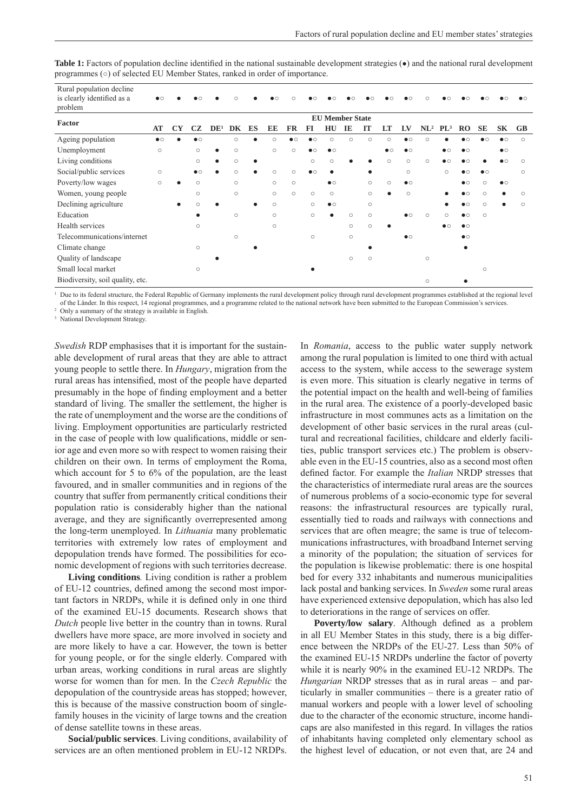| Rural population decline<br>is clearly identified as a<br>problem | $\bullet$ $\circ$ |                        |                   |                 |         |    |         |            |                   |           |         |            |            |           |                 |            |           |            |           |            |
|-------------------------------------------------------------------|-------------------|------------------------|-------------------|-----------------|---------|----|---------|------------|-------------------|-----------|---------|------------|------------|-----------|-----------------|------------|-----------|------------|-----------|------------|
|                                                                   |                   | <b>EU Member State</b> |                   |                 |         |    |         |            |                   |           |         |            |            |           |                 |            |           |            |           |            |
| Factor                                                            | AT                | <b>CY</b>              | CZ                | DE <sup>1</sup> | DK      | ES | EE      | FR         | FI                | HU        | IE      | п          | LT         | LV        | NL <sup>2</sup> | $PL^3$     | <b>RO</b> | <b>SE</b>  | SK        | <b>GB</b>  |
| Ageing population                                                 | $\bullet$         |                        | $\bullet$         |                 | $\circ$ |    | $\circ$ | $\bullet$  | $\bullet$         | $\circ$   | $\circ$ | $\circ$    | $\circ$    | $\bullet$ | $\circ$         |            | $\bullet$ |            | $\bullet$ | $\circ$    |
| Unemployment                                                      | $\circ$           |                        | $\circ$           |                 | $\circ$ |    | $\circ$ | $\circ$    | $\bullet$         | $\bullet$ |         |            | $\bullet$  | $\bullet$ |                 | $\bullet$  | $\bullet$ |            | $\bullet$ |            |
| Living conditions                                                 |                   |                        | $\circ$           |                 | $\circ$ |    |         |            | $\circ$           | $\circ$   |         |            | $\bigcirc$ | $\circ$   | $\circ$         | $\bullet$  | $\bullet$ |            | $\bullet$ | $\bigcirc$ |
| Social/public services                                            | $\circ$           |                        | $\bullet$ $\circ$ |                 | $\circ$ |    | $\circ$ | $\bigcirc$ | $\bullet$ $\circ$ | $\bullet$ |         |            |            | $\circ$   |                 | $\circ$    | $\bullet$ | $\bullet$  |           | $\circ$    |
| Poverty/low wages                                                 | $\circ$           |                        | $\circ$           |                 | $\circ$ |    | $\circ$ | $\circ$    |                   | $\bullet$ |         | $\circ$    | $\circ$    | $\bullet$ |                 |            | $\bullet$ | $\bigcirc$ | $\bullet$ |            |
| Women, young people                                               |                   |                        | $\circ$           |                 | $\circ$ |    | $\circ$ | $\circ$    | $\circ$           | $\circ$   |         | $\circ$    | $\bullet$  | $\circ$   |                 |            | $\bullet$ | $\circ$    | ٠         | $\circ$    |
| Declining agriculture                                             |                   |                        | $\circ$           |                 |         |    | $\circ$ |            | $\circ$           | $\bullet$ |         | $\circ$    |            |           |                 |            | $\bullet$ | $\circ$    |           | $\circ$    |
| Education                                                         |                   |                        | $\bullet$         |                 | $\circ$ |    | $\circ$ |            | $\circ$           | $\bullet$ | $\circ$ | $\circ$    |            | $\bullet$ | $\circ$         | $\bigcirc$ | $\bullet$ | $\circ$    |           |            |
| Health services                                                   |                   |                        | $\circ$           |                 |         |    | $\circ$ |            |                   |           | $\circ$ | $\circ$    | $\bullet$  |           |                 | $\bullet$  | $\bullet$ |            |           |            |
| Telecommunications/internet                                       |                   |                        |                   |                 | $\circ$ |    |         |            | $\circ$           |           | $\circ$ |            |            | $\bullet$ |                 |            | $\bullet$ |            |           |            |
| Climate change                                                    |                   |                        | $\circ$           |                 |         |    |         |            |                   |           |         |            |            |           |                 |            | $\bullet$ |            |           |            |
| Quality of landscape                                              |                   |                        |                   |                 |         |    |         |            |                   |           | $\circ$ | $\bigcirc$ |            |           | $\circ$         |            |           |            |           |            |
| Small local market                                                |                   |                        | $\circ$           |                 |         |    |         |            |                   |           |         |            |            |           |                 |            |           | $\circ$    |           |            |
| Biodiversity, soil quality, etc.                                  |                   |                        |                   |                 |         |    |         |            |                   |           |         |            |            |           | $\circ$         |            |           |            |           |            |

Table 1: Factors of population decline identified in the national sustainable development strategies (•) and the national rural development programmes (○) of selected EU Member States, ranked in order of importance.

<sup>1</sup> Due to its federal structure, the Federal Republic of Germany implements the rural development policy through rural development programmes established at the regional level of the Länder. In this respect, 14 regional programmes, and a programme related to the national network have been submitted to the European Commission's services.

Only a summary of the strategy is available in English.

3 National Development Strategy.

*Swedish* RDP emphasises that it is important for the sustainable development of rural areas that they are able to attract young people to settle there. In *Hungary*, migration from the rural areas has intensified, most of the people have departed presumably in the hope of finding employment and a better standard of living. The smaller the settlement, the higher is the rate of unemployment and the worse are the conditions of living. Employment opportunities are particularly restricted in the case of people with low qualifications, middle or senior age and even more so with respect to women raising their children on their own. In terms of employment the Roma, which account for 5 to 6% of the population, are the least favoured, and in smaller communities and in regions of the country that suffer from permanently critical conditions their population ratio is considerably higher than the national average, and they are significantly overrepresented among the long-term unemployed. In *Lithuania* many problematic territories with extremely low rates of employment and depopulation trends have formed. The possibilities for economic development of regions with such territories decrease.

**Living conditions***.* Living condition is rather a problem of EU-12 countries, defined among the second most important factors in NRDPs, while it is defined only in one third of the examined EU-15 documents. Research shows that *Dutch* people live better in the country than in towns. Rural dwellers have more space, are more involved in society and are more likely to have a car. However, the town is better for young people, or for the single elderly. Compared with urban areas, working conditions in rural areas are slightly worse for women than for men. In the *Czech Republic* the depopulation of the countryside areas has stopped; however, this is because of the massive construction boom of singlefamily houses in the vicinity of large towns and the creation of dense satellite towns in these areas.

**Social/public services**. Living conditions, availability of services are an often mentioned problem in EU-12 NRDPs.

In *Romania*, access to the public water supply network among the rural population is limited to one third with actual access to the system, while access to the sewerage system is even more. This situation is clearly negative in terms of the potential impact on the health and well-being of families in the rural area. The existence of a poorly-developed basic infrastructure in most communes acts as a limitation on the development of other basic services in the rural areas (cultural and recreational facilities, childcare and elderly facilities, public transport services etc.) The problem is observable even in the EU-15 countries, also as a second most often defined factor. For example the *Italian* NRDP stresses that the characteristics of intermediate rural areas are the sources of numerous problems of a socio-economic type for several reasons: the infrastructural resources are typically rural, essentially tied to roads and railways with connections and services that are often meagre; the same is true of telecommunications infrastructures, with broadband Internet serving a minority of the population; the situation of services for the population is likewise problematic: there is one hospital bed for every 332 inhabitants and numerous municipalities lack postal and banking services. In *Sweden* some rural areas have experienced extensive depopulation, which has also led to deteriorations in the range of services on offer.

**Poverty/low salary.** Although defined as a problem in all EU Member States in this study, there is a big difference between the NRDPs of the EU-27. Less than 50% of the examined EU-15 NRDPs underline the factor of poverty while it is nearly 90% in the examined EU-12 NRDPs. The *Hungarian* NRDP stresses that as in rural areas – and particularly in smaller communities – there is a greater ratio of manual workers and people with a lower level of schooling due to the character of the economic structure, income handicaps are also manifested in this regard. In villages the ratios of inhabitants having completed only elementary school as the highest level of education, or not even that, are 24 and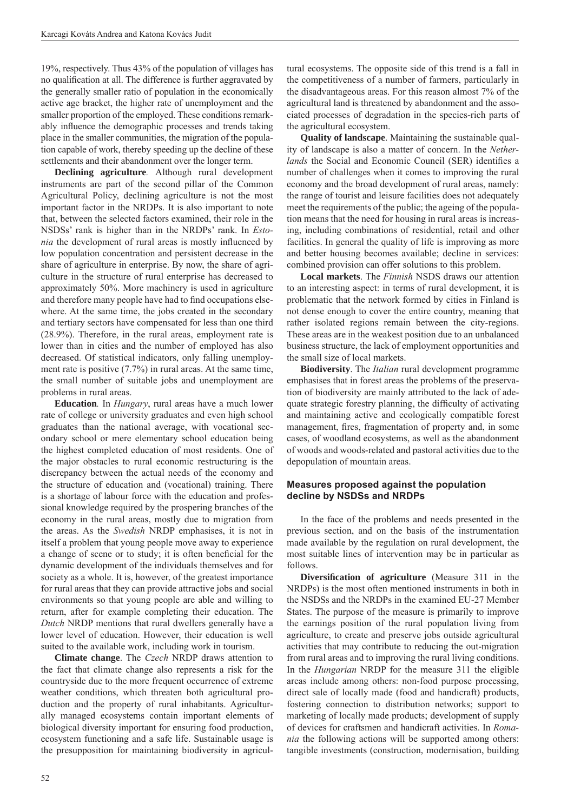19%, respectively. Thus 43% of the population of villages has no qualification at all. The difference is further aggravated by the generally smaller ratio of population in the economically active age bracket, the higher rate of unemployment and the smaller proportion of the employed. These conditions remarkably influence the demographic processes and trends taking place in the smaller communities, the migration of the population capable of work, thereby speeding up the decline of these settlements and their abandonment over the longer term.

**Declining agriculture***.* Although rural development instruments are part of the second pillar of the Common Agricultural Policy, declining agriculture is not the most important factor in the NRDPs. It is also important to note that, between the selected factors examined, their role in the NSDSs' rank is higher than in the NRDPs' rank. In *Estonia* the development of rural areas is mostly influenced by low population concentration and persistent decrease in the share of agriculture in enterprise. By now, the share of agriculture in the structure of rural enterprise has decreased to approximately 50%. More machinery is used in agriculture and therefore many people have had to find occupations elsewhere. At the same time, the jobs created in the secondary and tertiary sectors have compensated for less than one third (28.9%). Therefore, in the rural areas, employment rate is lower than in cities and the number of employed has also decreased. Of statistical indicators, only falling unemployment rate is positive  $(7.7%)$  in rural areas. At the same time, the small number of suitable jobs and unemployment are problems in rural areas.

**Education***.* In *Hungary*, rural areas have a much lower rate of college or university graduates and even high school graduates than the national average, with vocational secondary school or mere elementary school education being the highest completed education of most residents. One of the major obstacles to rural economic restructuring is the discrepancy between the actual needs of the economy and the structure of education and (vocational) training. There is a shortage of labour force with the education and professional knowledge required by the prospering branches of the economy in the rural areas, mostly due to migration from the areas. As the *Swedish* NRDP emphasises, it is not in itself a problem that young people move away to experience a change of scene or to study; it is often beneficial for the dynamic development of the individuals themselves and for society as a whole. It is, however, of the greatest importance for rural areas that they can provide attractive jobs and social environments so that young people are able and willing to return, after for example completing their education. The *Dutch* NRDP mentions that rural dwellers generally have a lower level of education. However, their education is well suited to the available work, including work in tourism.

**Climate change**. The *Czech* NRDP draws attention to the fact that climate change also represents a risk for the countryside due to the more frequent occurrence of extreme weather conditions, which threaten both agricultural production and the property of rural inhabitants. Agriculturally managed ecosystems contain important elements of biological diversity important for ensuring food production, ecosystem functioning and a safe life. Sustainable usage is the presupposition for maintaining biodiversity in agricultural ecosystems. The opposite side of this trend is a fall in the competitiveness of a number of farmers, particularly in the disadvantageous areas. For this reason almost 7% of the agricultural land is threatened by abandonment and the associated processes of degradation in the species-rich parts of the agricultural ecosystem.

**Quality of landscape**. Maintaining the sustainable quality of landscape is also a matter of concern. In the *Netherlands* the Social and Economic Council (SER) identifies a number of challenges when it comes to improving the rural economy and the broad development of rural areas, namely: the range of tourist and leisure facilities does not adequately meet the requirements of the public; the ageing of the population means that the need for housing in rural areas is increasing, including combinations of residential, retail and other facilities. In general the quality of life is improving as more and better housing becomes available; decline in services: combined provision can offer solutions to this problem.

**Local markets**. The *Finnish* NSDS draws our attention to an interesting aspect: in terms of rural development, it is problematic that the network formed by cities in Finland is not dense enough to cover the entire country, meaning that rather isolated regions remain between the city-regions. These areas are in the weakest position due to an unbalanced business structure, the lack of employment opportunities and the small size of local markets.

**Biodiversity**. The *Italian* rural development programme emphasises that in forest areas the problems of the preservation of biodiversity are mainly attributed to the lack of adequate strategic forestry planning, the difficulty of activating and maintaining active and ecologically compatible forest management, fires, fragmentation of property and, in some cases, of woodland ecosystems, as well as the abandonment of woods and woods-related and pastoral activities due to the depopulation of mountain areas.

#### **Measures proposed against the population decline by NSDSs and NRDPs**

In the face of the problems and needs presented in the previous section, and on the basis of the instrumentation made available by the regulation on rural development, the most suitable lines of intervention may be in particular as follows.

**Diversification of agriculture** (Measure 311 in the NRDPs) is the most often mentioned instruments in both in the NSDSs and the NRDPs in the examined EU-27 Member States. The purpose of the measure is primarily to improve the earnings position of the rural population living from agriculture, to create and preserve jobs outside agricultural activities that may contribute to reducing the out-migration from rural areas and to improving the rural living conditions. In the *Hungarian* NRDP for the measure 311 the eligible areas include among others: non-food purpose processing, direct sale of locally made (food and handicraft) products, fostering connection to distribution networks; support to marketing of locally made products; development of supply of devices for craftsmen and handicraft activities. In *Romania* the following actions will be supported among others: tangible investments (construction, modernisation, building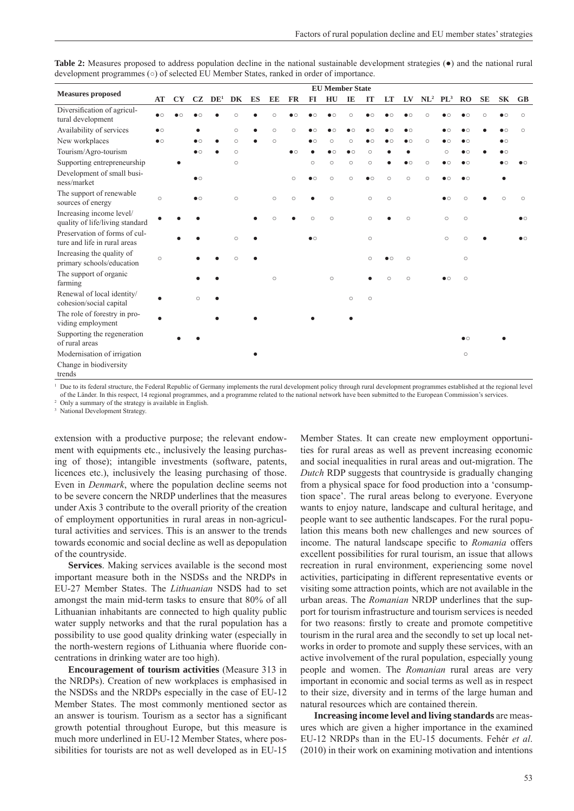|                                                               | <b>EU Member State</b> |           |                   |                 |         |    |         |           |           |                   |           |           |                   |                   |                 |                   |                   |           |                   |           |
|---------------------------------------------------------------|------------------------|-----------|-------------------|-----------------|---------|----|---------|-----------|-----------|-------------------|-----------|-----------|-------------------|-------------------|-----------------|-------------------|-------------------|-----------|-------------------|-----------|
| <b>Measures proposed</b>                                      | AT                     | <b>CY</b> | CZ                | DE <sup>1</sup> | DK      | ES | EE      | <b>FR</b> | $FI$      | HU                | IE        | IT        | LT                | LV                | NL <sup>2</sup> | $PL^3$            | $_{\rm RO}$       | <b>SE</b> | <b>SK</b>         | $G$ B     |
| Diversification of agricul-<br>tural development              | $\bullet$ $\circ$      |           |                   |                 | $\circ$ |    | $\circ$ |           |           | $\bullet$ $\circ$ | $\circ$   |           |                   | $\bullet$ $\circ$ | Ċ               |                   |                   |           | $\bullet$ $\circ$ | $\circ$   |
| Availability of services                                      | $\bullet$ $\circ$      |           |                   |                 | $\circ$ |    | $\circ$ | $\circ$   |           |                   |           |           |                   | $\bullet$         |                 |                   |                   |           | $\bullet$ $\circ$ | $\circ$   |
| New workplaces                                                | $\bullet$ $\circ$      |           | $\bullet$ $\circ$ |                 | $\circ$ |    | $\circ$ |           | $\bullet$ | $\circ$           | $\circ$   | $\bullet$ | $\bullet$         | $\bullet$         | $\circ$         | $\bullet$         | $\bullet$         |           | $\bullet$ $\circ$ |           |
| Tourism/Agro-tourism                                          |                        |           | $\bullet$ $\circ$ |                 | $\circ$ |    |         | $\bullet$ |           | $\bullet$ $\circ$ | $\bullet$ | $\circ$   |                   |                   |                 | $\circ$           | $\bullet$ $\circ$ |           | $\bullet$ $\circ$ |           |
| Supporting entrepreneurship                                   |                        |           |                   |                 | $\circ$ |    |         |           | $\circ$   | $\circ$           | $\circ$   | $\circ$   |                   | $\bullet$         | $\circ$         | $\bullet$         | $\bullet$         |           |                   |           |
| Development of small busi-<br>ness/market                     |                        |           | $\bullet$         |                 |         |    |         | $\circ$   | $\bullet$ | $\circ$           | $\circ$   | $\bullet$ | $\circ$           | $\circ$           | $\circ$         | $\bullet$ $\circ$ | $\bullet$         |           |                   |           |
| The support of renewable<br>sources of energy                 | $\circ$                |           | $\bullet$         |                 | $\circ$ |    | $\circ$ | $\circ$   | $\bullet$ | $\circ$           |           | $\circ$   | $\circ$           |                   |                 | $\bullet$         | $\circ$           |           | $\circ$           | $\circ$   |
| Increasing income level/<br>quality of life/living standard   |                        |           |                   |                 |         |    | $\circ$ |           | $\circ$   | $\circ$           |           | $\circ$   |                   | $\circ$           |                 | $\circ$           | $\circ$           |           |                   | $\bullet$ |
| Preservation of forms of cul-<br>ture and life in rural areas |                        |           |                   |                 | $\circ$ |    |         |           | $\bullet$ |                   |           | $\circ$   |                   |                   |                 | $\circ$           | $\circ$           |           |                   | $\bullet$ |
| Increasing the quality of<br>primary schools/education        | $\circ$                |           |                   |                 | $\circ$ |    |         |           |           |                   |           | $\circ$   | $\bullet$ $\circ$ | $\circ$           |                 |                   | $\circ$           |           |                   |           |
| The support of organic<br>farming                             |                        |           |                   |                 |         |    | $\circ$ |           |           | $\circ$           |           |           | $\circ$           | $\circ$           |                 | $\bullet$ $\circ$ | $\circ$           |           |                   |           |
| Renewal of local identity/<br>cohesion/social capital         |                        |           | $\circ$           |                 |         |    |         |           |           |                   | $\circ$   | $\circ$   |                   |                   |                 |                   |                   |           |                   |           |
| The role of forestry in pro-<br>viding employment             |                        |           |                   |                 |         |    |         |           |           |                   |           |           |                   |                   |                 |                   |                   |           |                   |           |
| Supporting the regeneration<br>of rural areas                 |                        |           |                   |                 |         |    |         |           |           |                   |           |           |                   |                   |                 |                   | $\bullet$         |           |                   |           |
| Modernisation of irrigation                                   |                        |           |                   |                 |         |    |         |           |           |                   |           |           |                   |                   |                 |                   | $\circ$           |           |                   |           |
| Change in biodiversity<br>trends                              |                        |           |                   |                 |         |    |         |           |           |                   |           |           |                   |                   |                 |                   |                   |           |                   |           |

**Table 2:** Measures proposed to address population decline in the national sustainable development strategies (●) and the national rural development programmes (○) of selected EU Member States, ranked in order of importance.

<sup>1</sup> Due to its federal structure, the Federal Republic of Germany implements the rural development policy through rural development programmes established at the regional level of the Länder. In this respect, 14 regional programmes, and a programme related to the national network have been submitted to the European Commission's services.

2 Only a summary of the strategy is available in English. 3 National Development Strategy.

extension with a productive purpose; the relevant endowment with equipments etc., inclusively the leasing purchasing of those); intangible investments (software, patents, licences etc.), inclusively the leasing purchasing of those. Even in *Denmark*, where the population decline seems not to be severe concern the NRDP underlines that the measures under Axis 3 contribute to the overall priority of the creation of employment opportunities in rural areas in non-agricultural activities and services. This is an answer to the trends towards economic and social decline as well as depopulation of the countryside.

**Services**. Making services available is the second most important measure both in the NSDSs and the NRDPs in EU-27 Member States. The *Lithuanian* NSDS had to set amongst the main mid-term tasks to ensure that 80% of all Lithuanian inhabitants are connected to high quality public water supply networks and that the rural population has a possibility to use good quality drinking water (especially in the north-western regions of Lithuania where fluoride concentrations in drinking water are too high).

**Encouragement of tourism activities** (Measure 313 in the NRDPs). Creation of new workplaces is emphasised in the NSDSs and the NRDPs especially in the case of EU-12 Member States. The most commonly mentioned sector as an answer is tourism. Tourism as a sector has a significant growth potential throughout Europe, but this measure is much more underlined in EU-12 Member States, where possibilities for tourists are not as well developed as in EU-15 Member States. It can create new employment opportunities for rural areas as well as prevent increasing economic and social inequalities in rural areas and out-migration. The *Dutch* RDP suggests that countryside is gradually changing from a physical space for food production into a 'consumption space'. The rural areas belong to everyone. Everyone wants to enjoy nature, landscape and cultural heritage, and people want to see authentic landscapes. For the rural population this means both new challenges and new sources of income. The natural landscape specific to *Romania* offers excellent possibilities for rural tourism, an issue that allows recreation in rural environment, experiencing some novel activities, participating in different representative events or visiting some attraction points, which are not available in the urban areas. The *Romanian* NRDP underlines that the support for tourism infrastructure and tourism services is needed for two reasons: firstly to create and promote competitive tourism in the rural area and the secondly to set up local networks in order to promote and supply these services, with an active involvement of the rural population, especially young people and women. The *Romanian* rural areas are very important in economic and social terms as well as in respect to their size, diversity and in terms of the large human and natural resources which are contained therein.

**Increasing income level and living standards** are measures which are given a higher importance in the examined EU-12 NRDPs than in the EU-15 documents. Fehér *et al*. (2010) in their work on examining motivation and intentions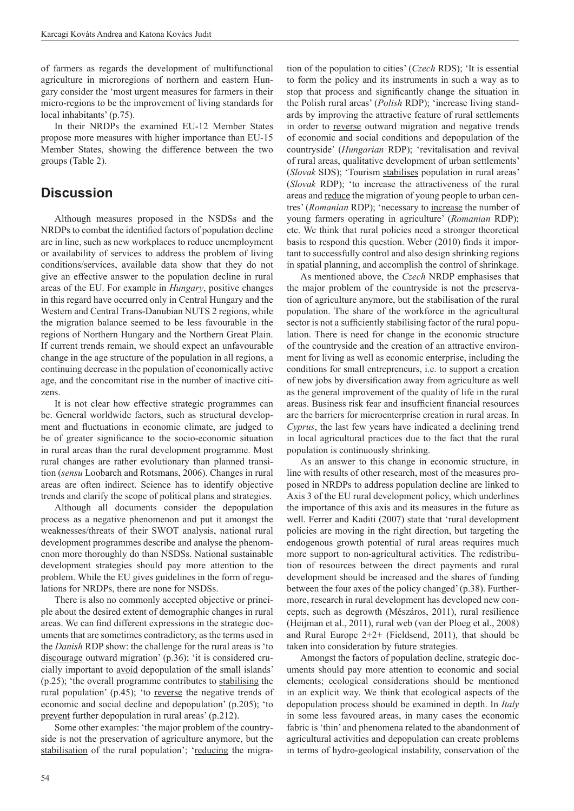of farmers as regards the development of multifunctional agriculture in microregions of northern and eastern Hungary consider the 'most urgent measures for farmers in their micro-regions to be the improvement of living standards for local inhabitants' (p.75).

In their NRDPs the examined EU-12 Member States propose more measures with higher importance than EU-15 Member States, showing the difference between the two groups (Table 2).

### **Discussion**

Although measures proposed in the NSDSs and the NRDPs to combat the identified factors of population decline are in line, such as new workplaces to reduce unemployment or availability of services to address the problem of living conditions/services, available data show that they do not give an effective answer to the population decline in rural areas of the EU. For example in *Hungary*, positive changes in this regard have occurred only in Central Hungary and the Western and Central Trans-Danubian NUTS 2 regions, while the migration balance seemed to be less favourable in the regions of Northern Hungary and the Northern Great Plain. If current trends remain, we should expect an unfavourable change in the age structure of the population in all regions, a continuing decrease in the population of economically active age, and the concomitant rise in the number of inactive citizens.

It is not clear how effective strategic programmes can be. General worldwide factors, such as structural development and fluctuations in economic climate, are judged to be of greater significance to the socio-economic situation in rural areas than the rural development programme. Most rural changes are rather evolutionary than planned transition (*sensu* Loobarch and Rotsmans, 2006). Changes in rural areas are often indirect. Science has to identify objective trends and clarify the scope of political plans and strategies.

Although all documents consider the depopulation process as a negative phenomenon and put it amongst the weaknesses/threats of their SWOT analysis, national rural development programmes describe and analyse the phenomenon more thoroughly do than NSDSs. National sustainable development strategies should pay more attention to the problem. While the EU gives guidelines in the form of regulations for NRDPs, there are none for NSDSs.

There is also no commonly accepted objective or principle about the desired extent of demographic changes in rural areas. We can find different expressions in the strategic documents that are sometimes contradictory, as the terms used in the *Danish* RDP show: the challenge for the rural areas is 'to discourage outward migration' (p.36); 'it is considered crucially important to avoid depopulation of the small islands' (p.25); 'the overall programme contributes to stabilising the rural population' (p.45); 'to reverse the negative trends of economic and social decline and depopulation' (p.205); 'to prevent further depopulation in rural areas' (p.212).

Some other examples: 'the major problem of the countryside is not the preservation of agriculture anymore, but the stabilisation of the rural population'; 'reducing the migration of the population to cities' (*Czech* RDS); 'It is essential to form the policy and its instruments in such a way as to stop that process and significantly change the situation in the Polish rural areas' (*Polish* RDP); 'increase living standards by improving the attractive feature of rural settlements in order to reverse outward migration and negative trends of economic and social conditions and depopulation of the countryside' (*Hungarian* RDP); 'revitalisation and revival of rural areas, qualitative development of urban settlements' (*Slovak* SDS); 'Tourism stabilises population in rural areas' (*Slovak* RDP); 'to increase the attractiveness of the rural areas and reduce the migration of young people to urban centres' (*Romanian* RDP); 'necessary to increase the number of young farmers operating in agriculture' (*Romanian* RDP); etc. We think that rural policies need a stronger theoretical basis to respond this question. Weber  $(2010)$  finds it important to successfully control and also design shrinking regions in spatial planning, and accomplish the control of shrinkage.

As mentioned above, the *Czech* NRDP emphasises that the major problem of the countryside is not the preservation of agriculture anymore, but the stabilisation of the rural population. The share of the workforce in the agricultural sector is not a sufficiently stabilising factor of the rural population. There is need for change in the economic structure of the countryside and the creation of an attractive environment for living as well as economic enterprise, including the conditions for small entrepreneurs, i.e. to support a creation of new jobs by diversification away from agriculture as well as the general improvement of the quality of life in the rural areas. Business risk fear and insufficient financial resources are the barriers for microenterprise creation in rural areas. In *Cyprus*, the last few years have indicated a declining trend in local agricultural practices due to the fact that the rural population is continuously shrinking.

As an answer to this change in economic structure, in line with results of other research, most of the measures proposed in NRDPs to address population decline are linked to Axis 3 of the EU rural development policy, which underlines the importance of this axis and its measures in the future as well. Ferrer and Kaditi (2007) state that 'rural development policies are moving in the right direction, but targeting the endogenous growth potential of rural areas requires much more support to non-agricultural activities. The redistribution of resources between the direct payments and rural development should be increased and the shares of funding between the four axes of the policy changed' (p.38). Furthermore, research in rural development has developed new concepts, such as degrowth (Mészáros, 2011), rural resilience (Heijman et al., 2011), rural web (van der Ploeg et al., 2008) and Rural Europe  $2+2+$  (Fieldsend, 2011), that should be taken into consideration by future strategies.

Amongst the factors of population decline, strategic documents should pay more attention to economic and social elements; ecological considerations should be mentioned in an explicit way. We think that ecological aspects of the depopulation process should be examined in depth. In *Italy* in some less favoured areas, in many cases the economic fabric is 'thin' and phenomena related to the abandonment of agricultural activities and depopulation can create problems in terms of hydro-geological instability, conservation of the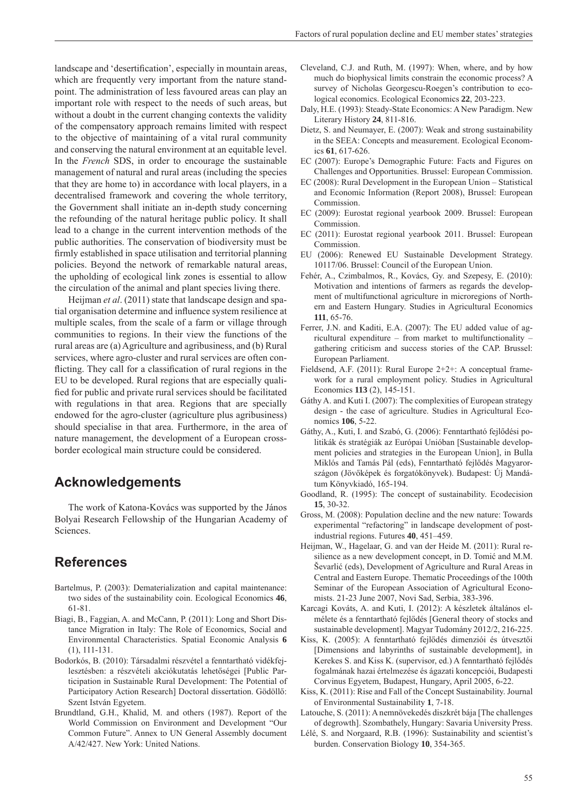landscape and 'desertification', especially in mountain areas, which are frequently very important from the nature standpoint. The administration of less favoured areas can play an important role with respect to the needs of such areas, but without a doubt in the current changing contexts the validity of the compensatory approach remains limited with respect to the objective of maintaining of a vital rural community and conserving the natural environment at an equitable level. In the *French* SDS, in order to encourage the sustainable management of natural and rural areas (including the species that they are home to) in accordance with local players, in a decentralised framework and covering the whole territory, the Government shall initiate an in-depth study concerning the refounding of the natural heritage public policy. It shall lead to a change in the current intervention methods of the public authorities. The conservation of biodiversity must be firmly established in space utilisation and territorial planning policies. Beyond the network of remarkable natural areas, the upholding of ecological link zones is essential to allow the circulation of the animal and plant species living there.

Heijman *et al*. (2011) state that landscape design and spatial organisation determine and influence system resilience at multiple scales, from the scale of a farm or village through communities to regions. In their view the functions of the rural areas are (a) Agriculture and agribusiness, and (b) Rural services, where agro-cluster and rural services are often conflicting. They call for a classification of rural regions in the EU to be developed. Rural regions that are especially qualified for public and private rural services should be facilitated with regulations in that area. Regions that are specially endowed for the agro-cluster (agriculture plus agribusiness) should specialise in that area. Furthermore, in the area of nature management, the development of a European crossborder ecological main structure could be considered.

### **Acknowledgements**

The work of Katona-Kovács was supported by the János Bolyai Research Fellowship of the Hungarian Academy of Sciences.

# **References**

- Bartelmus, P. (2003): Dematerialization and capital maintenance: two sides of the sustainability coin. Ecological Economics **46**, 61-81.
- Biagi, B., Faggian, A. and McCann, P. (2011): Long and Short Distance Migration in Italy: The Role of Economics, Social and Environmental Characteristics. Spatial Economic Analysis **6**  (1), 111-131.
- Bodorkós, B. (2010): Társadalmi részvétel a fenntartható vidékfejlesztésben: a részvételi akciókutatás lehetőségei [Public Participation in Sustainable Rural Development: The Potential of Participatory Action Research] Doctoral dissertation. Gödöllő: Szent István Egyetem.
- Brundtland, G.H., Khalid, M. and others (1987). Report of the World Commission on Environment and Development "Our Common Future". Annex to UN General Assembly document A/42/427. New York: United Nations.
- Cleveland, C.J. and Ruth, M. (1997): When, where, and by how much do biophysical limits constrain the economic process? A survey of Nicholas Georgescu-Roegen's contribution to ecological economics. Ecological Economics **22**, 203-223.
- Daly, H.E. (1993): Steady-State Economics: A New Paradigm. New Literary History **24**, 811-816.
- Dietz, S. and Neumayer, E. (2007): Weak and strong sustainability in the SEEA: Concepts and measurement. Ecological Economics **61**, 617-626.
- EC (2007): Europe's Demographic Future: Facts and Figures on Challenges and Opportunities. Brussel: European Commission.
- EC (2008): Rural Development in the European Union Statistical and Economic Information (Report 2008), Brussel: European Commission.
- EC (2009): Eurostat regional yearbook 2009. Brussel: European Commission.
- EC (2011): Eurostat regional yearbook 2011. Brussel: European Commission.
- EU (2006): Renewed EU Sustainable Development Strategy. 10117/06. Brussel: Council of the European Union.
- Fehér, A., Czimbalmos, R., Kovács, Gy. and Szepesy, E. (2010): Motivation and intentions of farmers as regards the development of multifunctional agriculture in microregions of Northern and Eastern Hungary. Studies in Agricultural Economics **111**, 65-76.
- Ferrer, J.N. and Kaditi, E.A. (2007): The EU added value of agricultural expenditure – from market to multifunctionality – gathering criticism and success stories of the CAP. Brussel: European Parliament.
- Fieldsend, A.F. (2011): Rural Europe 2+2+: A conceptual framework for a rural employment policy. Studies in Agricultural Economics **113** (2), 145-151.
- Gáthy A. and Kuti I. (2007): The complexities of European strategy design - the case of agriculture. Studies in Agricultural Economics **106**, 5-22.
- Gáthy, A., Kuti, I. and Szabó, G. (2006): Fenntartható fejlődési politikák és stratégiák az Európai Unióban [Sustainable development policies and strategies in the European Union], in Bulla Miklós and Tamás Pál (eds), Fenntartható fejlődés Magyarországon (Jövőképek és forgatókönyvek). Budapest: Új Mandátum Könyvkiadó, 165-194.
- Goodland, R. (1995): The concept of sustainability. Ecodecision **15**, 30-32.
- Gross, M. (2008): Population decline and the new nature: Towards experimental "refactoring" in landscape development of postindustrial regions. Futures **40**, 451–459.
- Heijman, W., Hagelaar, G. and van der Heide M. (2011): Rural resilience as a new development concept, in D. Tomić and M.M. Ševarlić (eds), Development of Agriculture and Rural Areas in Central and Eastern Europe. Thematic Proceedings of the 100th Seminar of the European Association of Agricultural Economists. 21-23 June 2007, Novi Sad, Serbia, 383-396.
- Karcagi Kováts, A. and Kuti, I. (2012): A készletek általános elmélete és a fenntartható fejlődés [General theory of stocks and sustainable development]. Magyar Tudomány 2012/2, 216-225.
- Kiss, K. (2005): A fenntartható fejlődés dimenziói és útvesztői [Dimensions and labyrinths of sustainable development], in Kerekes S. and Kiss K. (supervisor, ed.) A fenntartható fejlődés fogalmának hazai értelmezése és ágazati koncepciói, Budapesti Corvinus Egyetem, Budapest, Hungary, April 2005, 6-22.
- Kiss, K. (2011): Rise and Fall of the Concept Sustainability. Journal of Environmental Sustainability **1**, 7-18.
- Latouche, S. (2011): A nemnövekedés diszkrét bája [The challenges of degrowth]. Szombathely, Hungary: Savaria University Press.
- Lélé, S. and Norgaard, R.B. (1996): Sustainability and scientist's burden. Conservation Biology **10**, 354-365.